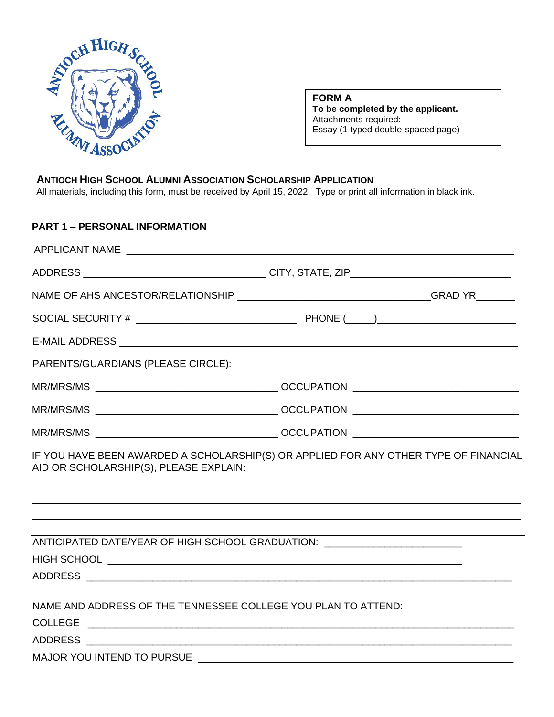

**FORM A To be completed by the applicant.**  Attachments required: Essay (1 typed double-spaced page)

### **ANTIOCH HIGH SCHOOL ALUMNI ASSOCIATION SCHOLARSHIP APPLICATION**

All materials, including this form, must be received by April 15, 2022. Type or print all information in black ink.

# **PART 1 – PERSONAL INFORMATION**

| PARENTS/GUARDIANS (PLEASE CIRCLE):                                                                                             |  |  |
|--------------------------------------------------------------------------------------------------------------------------------|--|--|
|                                                                                                                                |  |  |
|                                                                                                                                |  |  |
|                                                                                                                                |  |  |
| IF YOU HAVE BEEN AWARDED A SCHOLARSHIP(S) OR APPLIED FOR ANY OTHER TYPE OF FINANCIAL<br>AID OR SCHOLARSHIP(S), PLEASE EXPLAIN: |  |  |
|                                                                                                                                |  |  |
|                                                                                                                                |  |  |
| ANTICIPATED DATE/YEAR OF HIGH SCHOOL GRADUATION: _______________________________                                               |  |  |
|                                                                                                                                |  |  |
| INAME AND ADDRESS OF THE TENNESSEE COLLEGE YOU PLAN TO ATTEND:                                                                 |  |  |
|                                                                                                                                |  |  |
|                                                                                                                                |  |  |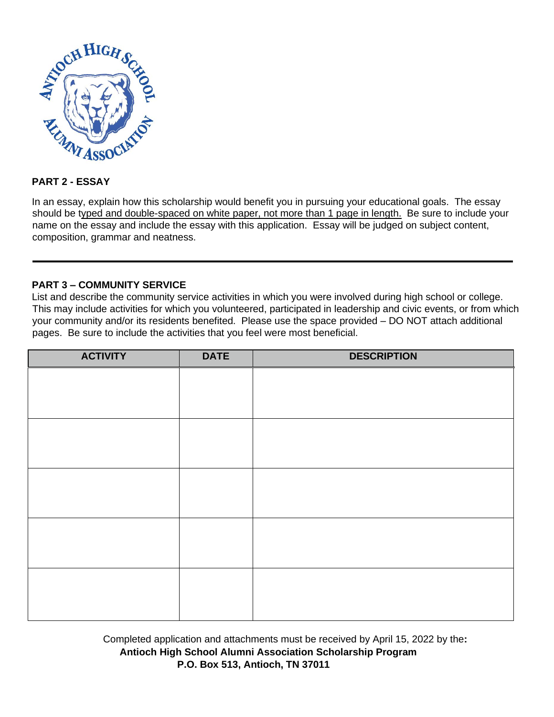

# **PART 2 - ESSAY**

In an essay, explain how this scholarship would benefit you in pursuing your educational goals. The essay should be typed and double-spaced on white paper, not more than 1 page in length. Be sure to include your name on the essay and include the essay with this application. Essay will be judged on subject content, composition, grammar and neatness.

# **PART 3 – COMMUNITY SERVICE**

List and describe the community service activities in which you were involved during high school or college. This may include activities for which you volunteered, participated in leadership and civic events, or from which your community and/or its residents benefited. Please use the space provided – DO NOT attach additional pages. Be sure to include the activities that you feel were most beneficial.

| <b>ACTIVITY</b> | <b>DATE</b> | <b>DESCRIPTION</b> |
|-----------------|-------------|--------------------|
|                 |             |                    |
|                 |             |                    |
|                 |             |                    |
|                 |             |                    |
|                 |             |                    |
|                 |             |                    |
|                 |             |                    |
|                 |             |                    |
|                 |             |                    |
|                 |             |                    |
|                 |             |                    |
|                 |             |                    |
|                 |             |                    |
|                 |             |                    |
|                 |             |                    |

Completed application and attachments must be received by April 15, 2022 by the**: Antioch High School Alumni Association Scholarship Program P.O. Box 513, Antioch, TN 37011**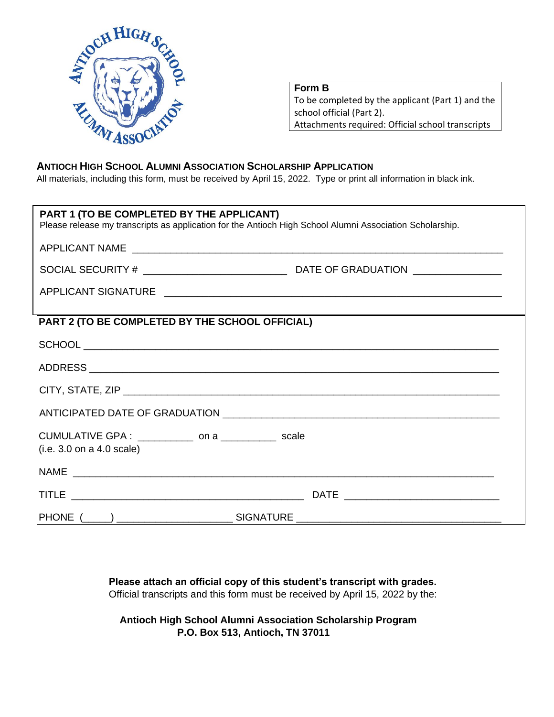

**Form B** To be completed by the applicant (Part 1) and the school official (Part 2).

Attachments required: Official school transcripts

### **ANTIOCH HIGH SCHOOL ALUMNI ASSOCIATION SCHOLARSHIP APPLICATION**

All materials, including this form, must be received by April 15, 2022. Type or print all information in black ink.

| PART 1 (TO BE COMPLETED BY THE APPLICANT)                                          | Please release my transcripts as application for the Antioch High School Alumni Association Scholarship. |  |
|------------------------------------------------------------------------------------|----------------------------------------------------------------------------------------------------------|--|
|                                                                                    |                                                                                                          |  |
|                                                                                    |                                                                                                          |  |
|                                                                                    |                                                                                                          |  |
|                                                                                    |                                                                                                          |  |
| PART 2 (TO BE COMPLETED BY THE SCHOOL OFFICIAL)                                    |                                                                                                          |  |
|                                                                                    |                                                                                                          |  |
|                                                                                    |                                                                                                          |  |
|                                                                                    |                                                                                                          |  |
|                                                                                    |                                                                                                          |  |
| CUMULATIVE GPA : ____________ on a ____________ scale<br>(i.e. 3.0 on a 4.0 scale) |                                                                                                          |  |
|                                                                                    |                                                                                                          |  |
|                                                                                    |                                                                                                          |  |
|                                                                                    |                                                                                                          |  |

**Please attach an official copy of this student's transcript with grades.**  Official transcripts and this form must be received by April 15, 2022 by the:

**Antioch High School Alumni Association Scholarship Program P.O. Box 513, Antioch, TN 37011**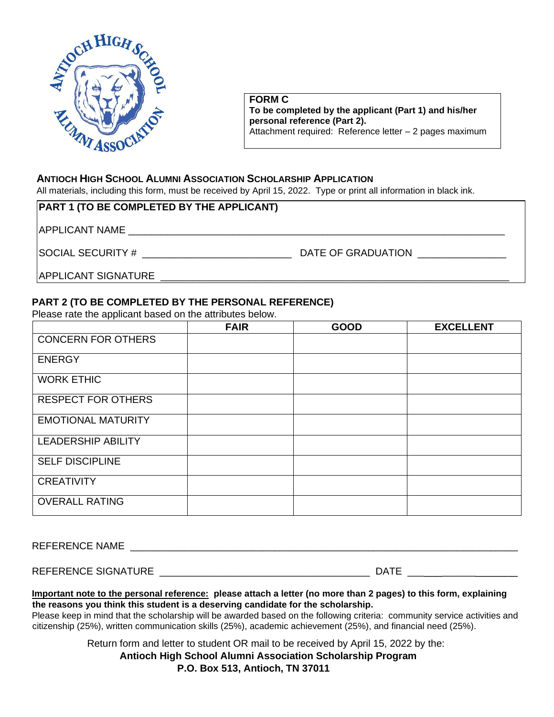

**FORM C To be completed by the applicant (Part 1) and his/her personal reference (Part 2).**  Attachment required: Reference letter – 2 pages maximum

### **ANTIOCH HIGH SCHOOL ALUMNI ASSOCIATION SCHOLARSHIP APPLICATION**

All materials, including this form, must be received by April 15, 2022. Type or print all information in black ink.

| <b>PART 1 (TO BE COMPLETED BY THE APPLICANT)</b> |                    |
|--------------------------------------------------|--------------------|
| <b>APPLICANT NAME</b>                            |                    |
| <b>SOCIAL SECURITY #</b>                         | DATE OF GRADUATION |
| <b>APPLICANT SIGNATURE</b>                       |                    |

### **PART 2 (TO BE COMPLETED BY THE PERSONAL REFERENCE)**

Please rate the applicant based on the attributes below.

|                           | <b>FAIR</b> | <b>GOOD</b> | <b>EXCELLENT</b> |
|---------------------------|-------------|-------------|------------------|
| <b>CONCERN FOR OTHERS</b> |             |             |                  |
| <b>ENERGY</b>             |             |             |                  |
| <b>WORK ETHIC</b>         |             |             |                  |
| <b>RESPECT FOR OTHERS</b> |             |             |                  |
| <b>EMOTIONAL MATURITY</b> |             |             |                  |
| <b>LEADERSHIP ABILITY</b> |             |             |                  |
| <b>SELF DISCIPLINE</b>    |             |             |                  |
| <b>CREATIVITY</b>         |             |             |                  |
| <b>OVERALL RATING</b>     |             |             |                  |

REFERENCE NAME

| REFERENCE SIGNATURE<br>١А |
|---------------------------|
|---------------------------|

**Important note to the personal reference: please attach a letter (no more than 2 pages) to this form, explaining the reasons you think this student is a deserving candidate for the scholarship.** 

Please keep in mind that the scholarship will be awarded based on the following criteria: community service activities and citizenship (25%), written communication skills (25%), academic achievement (25%), and financial need (25%).

Return form and letter to student OR mail to be received by April 15, 2022 by the:

**Antioch High School Alumni Association Scholarship Program**

#### **P.O. Box 513, Antioch, TN 37011**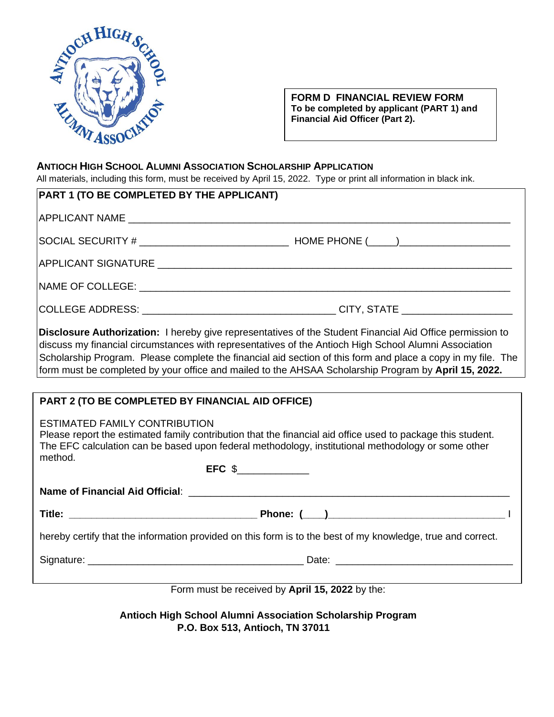

**FORM D FINANCIAL REVIEW FORM To be completed by applicant (PART 1) and Financial Aid Officer (Part 2).** 

### **ANTIOCH HIGH SCHOOL ALUMNI ASSOCIATION SCHOLARSHIP APPLICATION**

All materials, including this form, must be received by April 15, 2022. Type or print all information in black ink.

| PART 1 (TO BE COMPLETED BY THE APPLICANT)                                                                   |                                                                                                              |  |
|-------------------------------------------------------------------------------------------------------------|--------------------------------------------------------------------------------------------------------------|--|
|                                                                                                             |                                                                                                              |  |
|                                                                                                             |                                                                                                              |  |
|                                                                                                             |                                                                                                              |  |
|                                                                                                             |                                                                                                              |  |
|                                                                                                             |                                                                                                              |  |
|                                                                                                             |                                                                                                              |  |
|                                                                                                             |                                                                                                              |  |
|                                                                                                             |                                                                                                              |  |
|                                                                                                             |                                                                                                              |  |
|                                                                                                             | Disclosure Authorization: I hereby give representatives of the Student Financial Aid Office permission to    |  |
|                                                                                                             | discuss my financial circumstances with representatives of the Antioch High School Alumni Association        |  |
|                                                                                                             | Scholarship Program. Please complete the financial aid section of this form and place a copy in my file. The |  |
|                                                                                                             | form must be completed by your office and mailed to the AHSAA Scholarship Program by April 15, 2022.         |  |
|                                                                                                             |                                                                                                              |  |
| PART 2 (TO BE COMPLETED BY FINANCIAL AID OFFICE)                                                            |                                                                                                              |  |
|                                                                                                             |                                                                                                              |  |
| ESTIMATED FAMILY CONTRIBUTION                                                                               |                                                                                                              |  |
|                                                                                                             | Please report the estimated family contribution that the financial aid office used to package this student.  |  |
| method.                                                                                                     | The EFC calculation can be based upon federal methodology, institutional methodology or some other           |  |
|                                                                                                             | $EFC \$                                                                                                      |  |
|                                                                                                             |                                                                                                              |  |
|                                                                                                             |                                                                                                              |  |
|                                                                                                             |                                                                                                              |  |
| hereby certify that the information provided on this form is to the best of my knowledge, true and correct. |                                                                                                              |  |
|                                                                                                             |                                                                                                              |  |
|                                                                                                             |                                                                                                              |  |
|                                                                                                             |                                                                                                              |  |

Form must be received by **April 15, 2022** by the:

**Antioch High School Alumni Association Scholarship Program P.O. Box 513, Antioch, TN 37011**